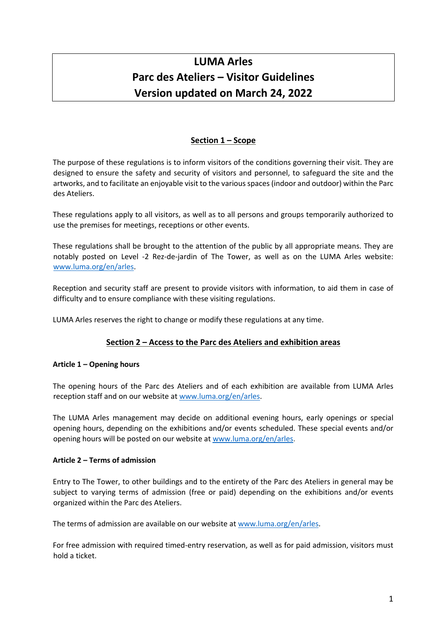# **LUMA Arles Parc des Ateliers – Visitor Guidelines Version updated on March 24, 2022**

# **Section 1 – Scope**

The purpose of these regulations is to inform visitors of the conditions governing their visit. They are designed to ensure the safety and security of visitors and personnel, to safeguard the site and the artworks, and to facilitate an enjoyable visit to the various spaces (indoor and outdoor) within the Parc des Ateliers.

These regulations apply to all visitors, as well as to all persons and groups temporarily authorized to use the premises for meetings, receptions or other events.

These regulations shall be brought to the attention of the public by all appropriate means. They are notably posted on Level -2 Rez-de-jardin of The Tower, as well as on the LUMA Arles website: www.luma.org/en/arles.

Reception and security staff are present to provide visitors with information, to aid them in case of difficulty and to ensure compliance with these visiting regulations.

LUMA Arles reserves the right to change or modify these regulations at any time.

# **Section 2 – Access to the Parc des Ateliers and exhibition areas**

# **Article 1 – Opening hours**

The opening hours of the Parc des Ateliers and of each exhibition are available from LUMA Arles reception staff and on our website at www.luma.org/en/arles.

The LUMA Arles management may decide on additional evening hours, early openings or special opening hours, depending on the exhibitions and/or events scheduled. These special events and/or opening hours will be posted on our website at www.luma.org/en/arles.

# **Article 2 – Terms of admission**

Entry to The Tower, to other buildings and to the entirety of the Parc des Ateliers in general may be subject to varying terms of admission (free or paid) depending on the exhibitions and/or events organized within the Parc des Ateliers.

The terms of admission are available on our website at www.luma.org/en/arles.

For free admission with required timed-entry reservation, as well as for paid admission, visitors must hold a ticket.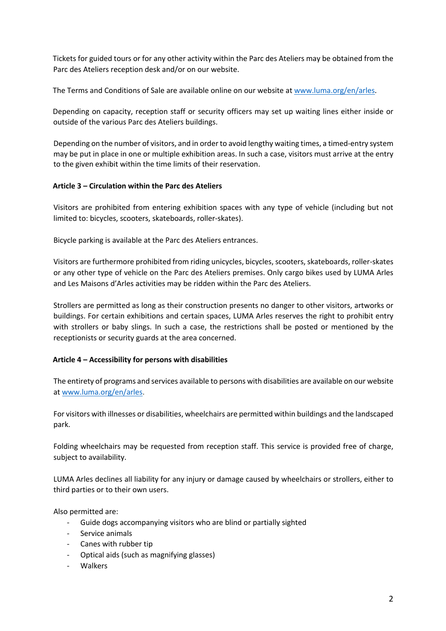Tickets for guided tours or for any other activity within the Parc des Ateliers may be obtained from the Parc des Ateliers reception desk and/or on our website.

The Terms and Conditions of Sale are available online on our website at www.luma.org/en/arles.

Depending on capacity, reception staff or security officers may set up waiting lines either inside or outside of the various Parc des Ateliers buildings.

Depending on the number of visitors, and in order to avoid lengthy waiting times, a timed-entry system may be put in place in one or multiple exhibition areas. In such a case, visitors must arrive at the entry to the given exhibit within the time limits of their reservation.

## **Article 3 – Circulation within the Parc des Ateliers**

Visitors are prohibited from entering exhibition spaces with any type of vehicle (including but not limited to: bicycles, scooters, skateboards, roller-skates).

Bicycle parking is available at the Parc des Ateliers entrances.

Visitors are furthermore prohibited from riding unicycles, bicycles, scooters, skateboards, roller-skates or any other type of vehicle on the Parc des Ateliers premises. Only cargo bikes used by LUMA Arles and Les Maisons d'Arles activities may be ridden within the Parc des Ateliers.

Strollers are permitted as long as their construction presents no danger to other visitors, artworks or buildings. For certain exhibitions and certain spaces, LUMA Arles reserves the right to prohibit entry with strollers or baby slings. In such a case, the restrictions shall be posted or mentioned by the receptionists or security guards at the area concerned.

# **Article 4 – Accessibility for persons with disabilities**

The entirety of programs and services available to persons with disabilities are available on our website at www.luma.org/en/arles.

For visitors with illnesses or disabilities, wheelchairs are permitted within buildings and the landscaped park.

Folding wheelchairs may be requested from reception staff. This service is provided free of charge, subject to availability.

LUMA Arles declines all liability for any injury or damage caused by wheelchairs or strollers, either to third parties or to their own users.

Also permitted are:

- Guide dogs accompanying visitors who are blind or partially sighted
- Service animals
- Canes with rubber tip
- Optical aids (such as magnifying glasses)
- Walkers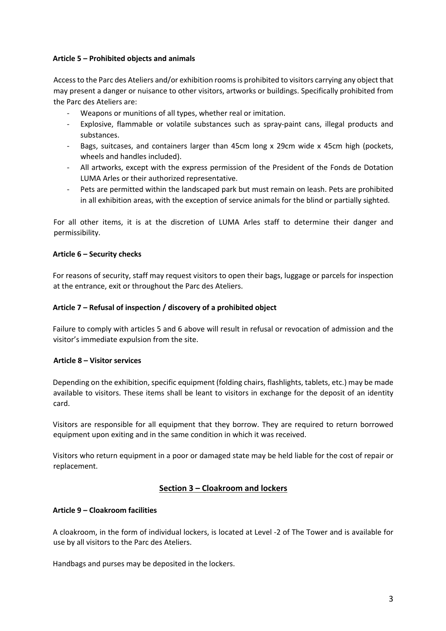## **Article 5 – Prohibited objects and animals**

Access to the Parc des Ateliers and/or exhibition rooms is prohibited to visitors carrying any object that may present a danger or nuisance to other visitors, artworks or buildings. Specifically prohibited from the Parc des Ateliers are:

- Weapons or munitions of all types, whether real or imitation.
- Explosive, flammable or volatile substances such as spray-paint cans, illegal products and substances.
- Bags, suitcases, and containers larger than 45cm long x 29cm wide x 45cm high (pockets, wheels and handles included).
- All artworks, except with the express permission of the President of the Fonds de Dotation LUMA Arles or their authorized representative.
- Pets are permitted within the landscaped park but must remain on leash. Pets are prohibited in all exhibition areas, with the exception of service animals for the blind or partially sighted.

For all other items, it is at the discretion of LUMA Arles staff to determine their danger and permissibility.

## **Article 6 – Security checks**

For reasons of security, staff may request visitors to open their bags, luggage or parcels for inspection at the entrance, exit or throughout the Parc des Ateliers.

## **Article 7 – Refusal of inspection / discovery of a prohibited object**

Failure to comply with articles 5 and 6 above will result in refusal or revocation of admission and the visitor's immediate expulsion from the site.

#### **Article 8 – Visitor services**

Depending on the exhibition, specific equipment (folding chairs, flashlights, tablets, etc.) may be made available to visitors. These items shall be leant to visitors in exchange for the deposit of an identity card.

Visitors are responsible for all equipment that they borrow. They are required to return borrowed equipment upon exiting and in the same condition in which it was received.

Visitors who return equipment in a poor or damaged state may be held liable for the cost of repair or replacement.

# **Section 3 – Cloakroom and lockers**

#### **Article 9 – Cloakroom facilities**

A cloakroom, in the form of individual lockers, is located at Level -2 of The Tower and is available for use by all visitors to the Parc des Ateliers.

Handbags and purses may be deposited in the lockers.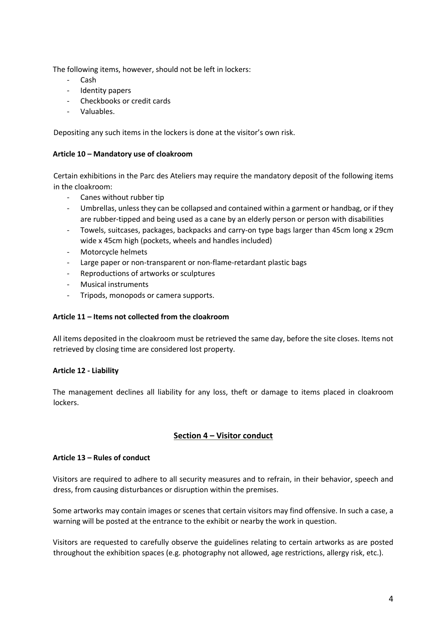The following items, however, should not be left in lockers:

- Cash
- Identity papers
- Checkbooks or credit cards
- Valuables.

Depositing any such items in the lockers is done at the visitor's own risk.

## **Article 10 – Mandatory use of cloakroom**

Certain exhibitions in the Parc des Ateliers may require the mandatory deposit of the following items in the cloakroom:

- Canes without rubber tip
- Umbrellas, unless they can be collapsed and contained within a garment or handbag, or if they are rubber-tipped and being used as a cane by an elderly person or person with disabilities
- Towels, suitcases, packages, backpacks and carry-on type bags larger than 45cm long x 29cm wide x 45cm high (pockets, wheels and handles included)
- Motorcycle helmets
- Large paper or non-transparent or non-flame-retardant plastic bags
- Reproductions of artworks or sculptures
- Musical instruments
- Tripods, monopods or camera supports.

#### **Article 11 – Items not collected from the cloakroom**

All items deposited in the cloakroom must be retrieved the same day, before the site closes. Items not retrieved by closing time are considered lost property.

#### **Article 12 - Liability**

The management declines all liability for any loss, theft or damage to items placed in cloakroom lockers.

# **Section 4 – Visitor conduct**

#### **Article 13 – Rules of conduct**

Visitors are required to adhere to all security measures and to refrain, in their behavior, speech and dress, from causing disturbances or disruption within the premises.

Some artworks may contain images or scenes that certain visitors may find offensive. In such a case, a warning will be posted at the entrance to the exhibit or nearby the work in question.

Visitors are requested to carefully observe the guidelines relating to certain artworks as are posted throughout the exhibition spaces (e.g. photography not allowed, age restrictions, allergy risk, etc.).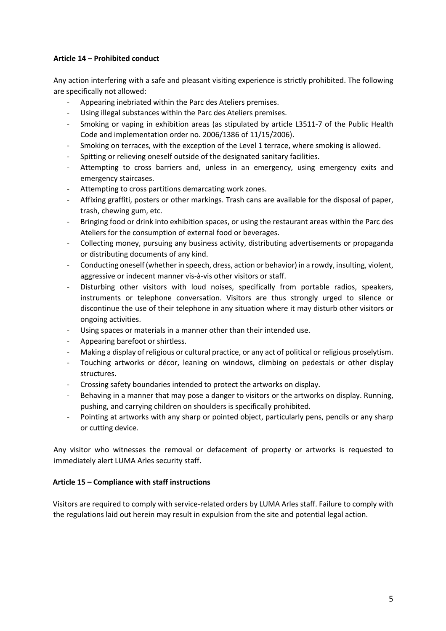# **Article 14 – Prohibited conduct**

Any action interfering with a safe and pleasant visiting experience is strictly prohibited. The following are specifically not allowed:

- Appearing inebriated within the Parc des Ateliers premises.
- Using illegal substances within the Parc des Ateliers premises.
- Smoking or vaping in exhibition areas (as stipulated by article L3511-7 of the Public Health Code and implementation order no. 2006/1386 of 11/15/2006).
- Smoking on terraces, with the exception of the Level 1 terrace, where smoking is allowed.
- Spitting or relieving oneself outside of the designated sanitary facilities.
- Attempting to cross barriers and, unless in an emergency, using emergency exits and emergency staircases.
- Attempting to cross partitions demarcating work zones.
- Affixing graffiti, posters or other markings. Trash cans are available for the disposal of paper, trash, chewing gum, etc.
- Bringing food or drink into exhibition spaces, or using the restaurant areas within the Parc des Ateliers for the consumption of external food or beverages.
- Collecting money, pursuing any business activity, distributing advertisements or propaganda or distributing documents of any kind.
- Conducting oneself (whether in speech, dress, action or behavior) in a rowdy, insulting, violent, aggressive or indecent manner vis-à-vis other visitors or staff.
- Disturbing other visitors with loud noises, specifically from portable radios, speakers, instruments or telephone conversation. Visitors are thus strongly urged to silence or discontinue the use of their telephone in any situation where it may disturb other visitors or ongoing activities.
- Using spaces or materials in a manner other than their intended use.
- Appearing barefoot or shirtless.
- Making a display of religious or cultural practice, or any act of political or religious proselytism.
- Touching artworks or décor, leaning on windows, climbing on pedestals or other display structures.
- Crossing safety boundaries intended to protect the artworks on display.
- Behaving in a manner that may pose a danger to visitors or the artworks on display. Running, pushing, and carrying children on shoulders is specifically prohibited.
- Pointing at artworks with any sharp or pointed object, particularly pens, pencils or any sharp or cutting device.

Any visitor who witnesses the removal or defacement of property or artworks is requested to immediately alert LUMA Arles security staff.

# **Article 15 – Compliance with staff instructions**

Visitors are required to comply with service-related orders by LUMA Arles staff. Failure to comply with the regulations laid out herein may result in expulsion from the site and potential legal action.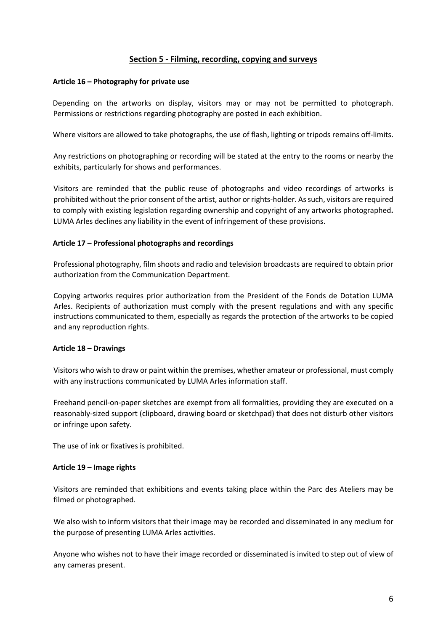# **Section 5 - Filming, recording, copying and surveys**

### **Article 16 – Photography for private use**

Depending on the artworks on display, visitors may or may not be permitted to photograph. Permissions or restrictions regarding photography are posted in each exhibition.

Where visitors are allowed to take photographs, the use of flash, lighting or tripods remains off-limits.

Any restrictions on photographing or recording will be stated at the entry to the rooms or nearby the exhibits, particularly for shows and performances.

Visitors are reminded that the public reuse of photographs and video recordings of artworks is prohibited without the prior consent of the artist, author or rights-holder. As such, visitors are required to comply with existing legislation regarding ownership and copyright of any artworks photographed**.** LUMA Arles declines any liability in the event of infringement of these provisions.

# **Article 17 – Professional photographs and recordings**

Professional photography, film shoots and radio and television broadcasts are required to obtain prior authorization from the Communication Department.

Copying artworks requires prior authorization from the President of the Fonds de Dotation LUMA Arles. Recipients of authorization must comply with the present regulations and with any specific instructions communicated to them, especially as regards the protection of the artworks to be copied and any reproduction rights.

#### **Article 18 – Drawings**

Visitors who wish to draw or paint within the premises, whether amateur or professional, must comply with any instructions communicated by LUMA Arles information staff.

Freehand pencil-on-paper sketches are exempt from all formalities, providing they are executed on a reasonably-sized support (clipboard, drawing board or sketchpad) that does not disturb other visitors or infringe upon safety.

The use of ink or fixatives is prohibited.

#### **Article 19 – Image rights**

Visitors are reminded that exhibitions and events taking place within the Parc des Ateliers may be filmed or photographed.

We also wish to inform visitors that their image may be recorded and disseminated in any medium for the purpose of presenting LUMA Arles activities.

Anyone who wishes not to have their image recorded or disseminated is invited to step out of view of any cameras present.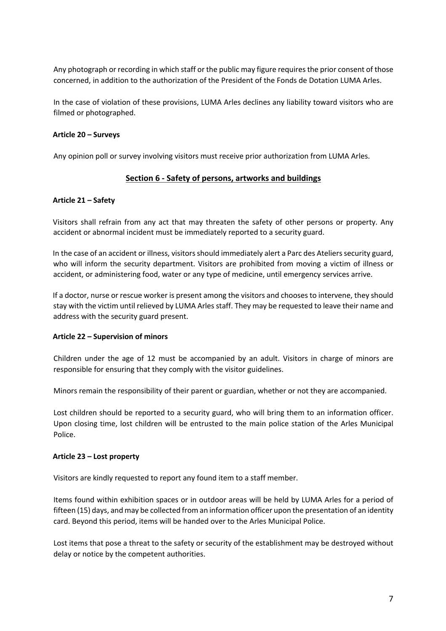Any photograph or recording in which staff or the public may figure requires the prior consent of those concerned, in addition to the authorization of the President of the Fonds de Dotation LUMA Arles.

In the case of violation of these provisions, LUMA Arles declines any liability toward visitors who are filmed or photographed.

## **Article 20 – Surveys**

Any opinion poll or survey involving visitors must receive prior authorization from LUMA Arles.

# **Section 6 - Safety of persons, artworks and buildings**

## **Article 21 – Safety**

Visitors shall refrain from any act that may threaten the safety of other persons or property. Any accident or abnormal incident must be immediately reported to a security guard.

In the case of an accident or illness, visitors should immediately alert a Parc des Ateliers security guard, who will inform the security department. Visitors are prohibited from moving a victim of illness or accident, or administering food, water or any type of medicine, until emergency services arrive.

If a doctor, nurse or rescue worker is present among the visitors and chooses to intervene, they should stay with the victim until relieved by LUMA Arles staff. They may be requested to leave their name and address with the security guard present.

#### **Article 22 – Supervision of minors**

Children under the age of 12 must be accompanied by an adult. Visitors in charge of minors are responsible for ensuring that they comply with the visitor guidelines.

Minors remain the responsibility of their parent or guardian, whether or not they are accompanied.

Lost children should be reported to a security guard, who will bring them to an information officer. Upon closing time, lost children will be entrusted to the main police station of the Arles Municipal Police.

#### **Article 23 – Lost property**

Visitors are kindly requested to report any found item to a staff member.

Items found within exhibition spaces or in outdoor areas will be held by LUMA Arles for a period of fifteen (15) days, and may be collected from an information officer upon the presentation of an identity card. Beyond this period, items will be handed over to the Arles Municipal Police.

Lost items that pose a threat to the safety or security of the establishment may be destroyed without delay or notice by the competent authorities.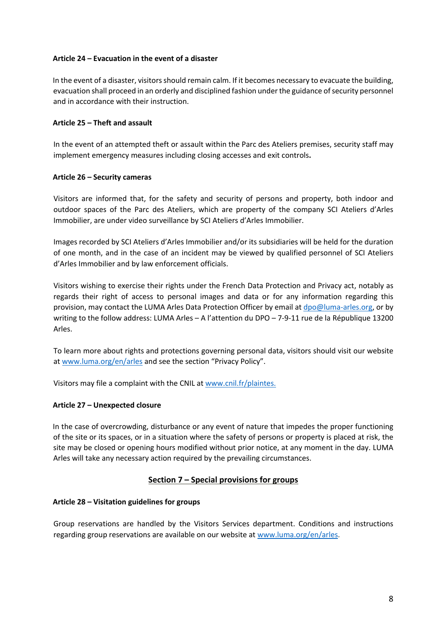## **Article 24 – Evacuation in the event of a disaster**

In the event of a disaster, visitors should remain calm. If it becomes necessary to evacuate the building, evacuation shall proceed in an orderly and disciplined fashion under the guidance of security personnel and in accordance with their instruction.

## **Article 25 – Theft and assault**

In the event of an attempted theft or assault within the Parc des Ateliers premises, security staff may implement emergency measures including closing accesses and exit controls**.**

## **Article 26 – Security cameras**

Visitors are informed that, for the safety and security of persons and property, both indoor and outdoor spaces of the Parc des Ateliers, which are property of the company SCI Ateliers d'Arles Immobilier, are under video surveillance by SCI Ateliers d'Arles Immobilier.

Images recorded by SCI Ateliers d'Arles Immobilier and/or its subsidiaries will be held for the duration of one month, and in the case of an incident may be viewed by qualified personnel of SCI Ateliers d'Arles Immobilier and by law enforcement officials.

Visitors wishing to exercise their rights under the French Data Protection and Privacy act, notably as regards their right of access to personal images and data or for any information regarding this provision, may contact the LUMA Arles Data Protection Officer by email at dpo@luma-arles.org, or by writing to the follow address: LUMA Arles – A l'attention du DPO – 7-9-11 rue de la République 13200 Arles.

To learn more about rights and protections governing personal data, visitors should visit our website at www.luma.org/en/arles and see the section "Privacy Policy".

Visitors may file a complaint with the CNIL at www.cnil.fr/plaintes.

# **Article 27 – Unexpected closure**

In the case of overcrowding, disturbance or any event of nature that impedes the proper functioning of the site or its spaces, or in a situation where the safety of persons or property is placed at risk, the site may be closed or opening hours modified without prior notice, at any moment in the day. LUMA Arles will take any necessary action required by the prevailing circumstances.

# **Section 7 – Special provisions for groups**

#### **Article 28 – Visitation guidelines for groups**

Group reservations are handled by the Visitors Services department. Conditions and instructions regarding group reservations are available on our website at www.luma.org/en/arles.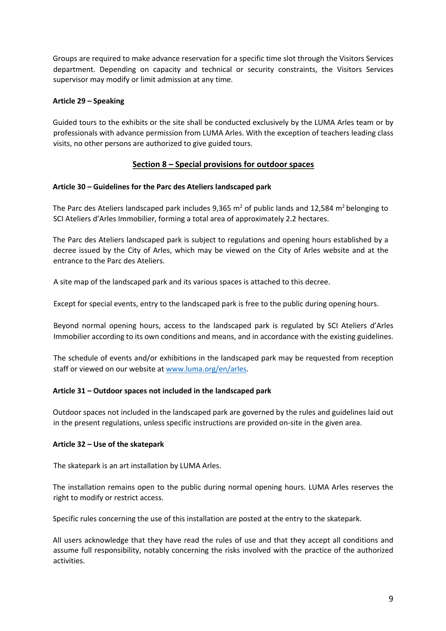Groups are required to make advance reservation for a specific time slot through the Visitors Services department. Depending on capacity and technical or security constraints, the Visitors Services supervisor may modify or limit admission at any time.

# **Article 29 – Speaking**

Guided tours to the exhibits or the site shall be conducted exclusively by the LUMA Arles team or by professionals with advance permission from LUMA Arles. With the exception of teachers leading class visits, no other persons are authorized to give guided tours.

# **Section 8 – Special provisions for outdoor spaces**

# **Article 30 – Guidelines for the Parc des Ateliers landscaped park**

The Parc des Ateliers landscaped park includes 9,365 m<sup>2</sup> of public lands and 12,584 m<sup>2</sup> belonging to SCI Ateliers d'Arles Immobilier, forming a total area of approximately 2.2 hectares.

The Parc des Ateliers landscaped park is subject to regulations and opening hours established by a decree issued by the City of Arles, which may be viewed on the City of Arles website and at the entrance to the Parc des Ateliers.

A site map of the landscaped park and its various spaces is attached to this decree.

Except for special events, entry to the landscaped park is free to the public during opening hours.

Beyond normal opening hours, access to the landscaped park is regulated by SCI Ateliers d'Arles Immobilier according to its own conditions and means, and in accordance with the existing guidelines.

The schedule of events and/or exhibitions in the landscaped park may be requested from reception staff or viewed on our website at www.luma.org/en/arles.

# **Article 31 – Outdoor spaces not included in the landscaped park**

Outdoor spaces not included in the landscaped park are governed by the rules and guidelines laid out in the present regulations, unless specific instructions are provided on-site in the given area.

# **Article 32 – Use of the skatepark**

The skatepark is an art installation by LUMA Arles.

The installation remains open to the public during normal opening hours. LUMA Arles reserves the right to modify or restrict access.

Specific rules concerning the use of this installation are posted at the entry to the skatepark.

All users acknowledge that they have read the rules of use and that they accept all conditions and assume full responsibility, notably concerning the risks involved with the practice of the authorized activities.